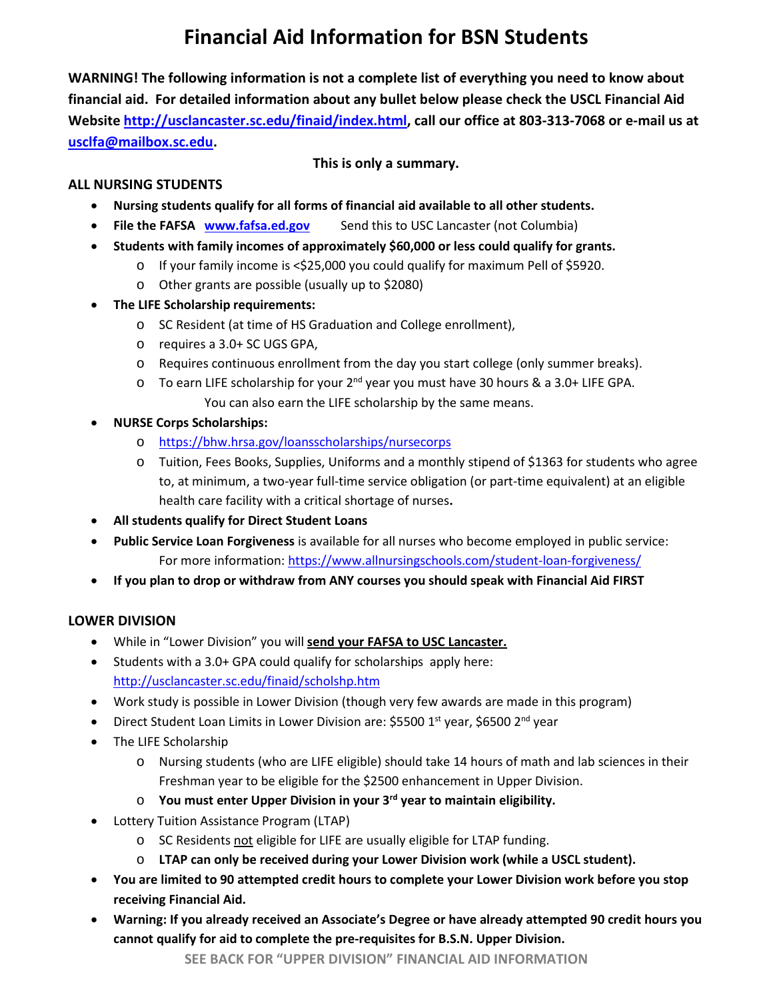# **Financial Aid Information for BSN Students**

**WARNING! The following information is not a complete list of everything you need to know about financial aid. For detailed information about any bullet below please check the USCL Financial Aid Website [http://usclancaster.sc.edu/finaid/index.html,](http://usclancaster.sc.edu/finaid/index.html) call our office at 803-313-7068 or e-mail us at [usclfa@mailbox.sc.edu.](mailto:usclfa@mailbox.sc.edu)** 

### **This is only a summary.**

## **ALL NURSING STUDENTS**

- **Nursing students qualify for all forms of financial aid available to all other students.**
- **File the FAFSA [www.fafsa.ed.gov](http://www.fafsa.ed.gov/)** Send this to USC Lancaster (not Columbia)
- **Students with family incomes of approximately \$60,000 or less could qualify for grants.**
	- o If your family income is <\$25,000 you could qualify for maximum Pell of \$5920.
	- o Other grants are possible (usually up to \$2080)
- **The LIFE Scholarship requirements:**
	- o SC Resident (at time of HS Graduation and College enrollment),
	- o requires a 3.0+ SC UGS GPA,
	- o Requires continuous enrollment from the day you start college (only summer breaks).
	- $\circ$  To earn LIFE scholarship for your 2<sup>nd</sup> year you must have 30 hours & a 3.0+ LIFE GPA. You can also earn the LIFE scholarship by the same means.
- **NURSE Corps Scholarships:** 
	- o <https://bhw.hrsa.gov/loansscholarships/nursecorps>
	- o Tuition, Fees Books, Supplies, Uniforms and a monthly stipend of \$1363 for students who agree to, at minimum, a two-year full-time service obligation (or part-time equivalent) at an eligible health care facility with a critical shortage of nurses**.**
- **All students qualify for Direct Student Loans**
- **Public Service Loan Forgiveness** is available for all nurses who become employed in public service: For more information:<https://www.allnursingschools.com/student-loan-forgiveness/>
- **If you plan to drop or withdraw from ANY courses you should speak with Financial Aid FIRST**

# **LOWER DIVISION**

- While in "Lower Division" you will **send your FAFSA to USC Lancaster.**
- Students with a 3.0+ GPA could qualify for scholarships apply here: <http://usclancaster.sc.edu/finaid/scholshp.htm>
- Work study is possible in Lower Division (though very few awards are made in this program)
- Direct Student Loan Limits in Lower Division are: \$5500  $1<sup>st</sup>$  year, \$6500  $2<sup>nd</sup>$  year
- The LIFE Scholarship
	- o Nursing students (who are LIFE eligible) should take 14 hours of math and lab sciences in their Freshman year to be eligible for the \$2500 enhancement in Upper Division.
	- o **You must enter Upper Division in your 3rd year to maintain eligibility.**
- Lottery Tuition Assistance Program (LTAP)
	- o SC Residents not eligible for LIFE are usually eligible for LTAP funding.
	- o **LTAP can only be received during your Lower Division work (while a USCL student).**
- **You are limited to 90 attempted credit hours to complete your Lower Division work before you stop receiving Financial Aid.**
- **Warning: If you already received an Associate's Degree or have already attempted 90 credit hours you cannot qualify for aid to complete the pre-requisites for B.S.N. Upper Division.**